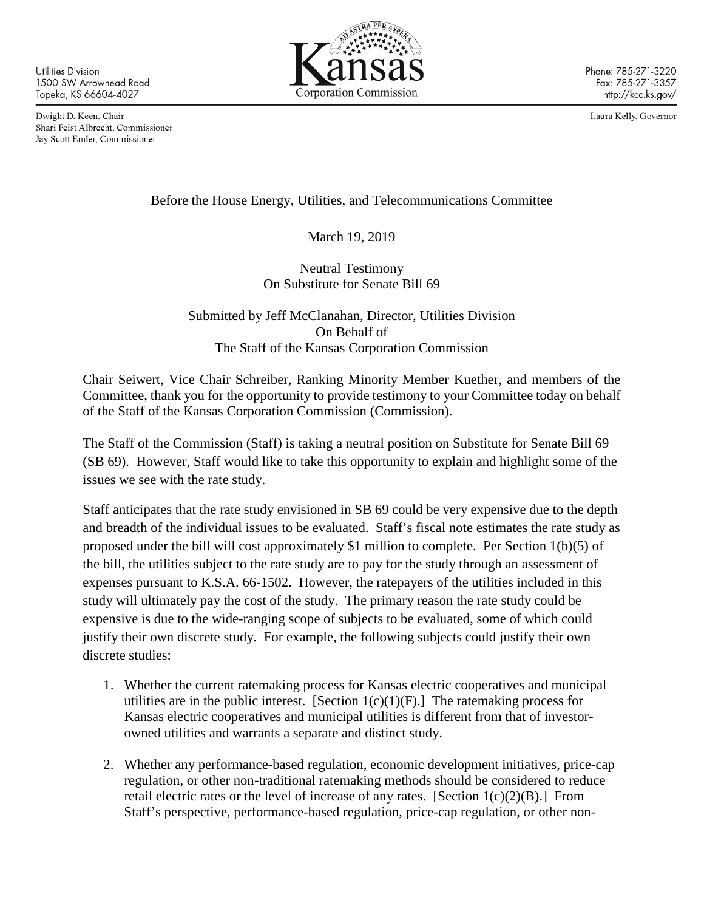Utilities Division 1500 SW Arrowhead Road Topeka, KS 66604-4027

Dwight D. Keen, Chair Shari Feist Albrecht, Commissioner Jay Scott Emler, Commissioner



Phone: 785-271-3220 Fax: 785-271-3357 http://kcc.ks.gov/

Laura Kelly, Governor

Before the House Energy, Utilities, and Telecommunications Committee

March 19, 2019

Neutral Testimony On Substitute for Senate Bill 69

Submitted by Jeff McClanahan, Director, Utilities Division On Behalf of The Staff of the Kansas Corporation Commission

Chair Seiwert, Vice Chair Schreiber, Ranking Minority Member Kuether, and members of the Committee, thank you for the opportunity to provide testimony to your Committee today on behalf of the Staff of the Kansas Corporation Commission (Commission).

The Staff of the Commission (Staff) is taking a neutral position on Substitute for Senate Bill 69 (SB 69). However, Staff would like to take this opportunity to explain and highlight some of the issues we see with the rate study.

Staff anticipates that the rate study envisioned in SB 69 could be very expensive due to the depth and breadth of the individual issues to be evaluated. Staff's fiscal note estimates the rate study as proposed under the bill will cost approximately \$1 million to complete. Per Section 1(b)(5) of the bill, the utilities subject to the rate study are to pay for the study through an assessment of expenses pursuant to K.S.A. 66-1502. However, the ratepayers of the utilities included in this study will ultimately pay the cost of the study. The primary reason the rate study could be expensive is due to the wide-ranging scope of subjects to be evaluated, some of which could justify their own discrete study. For example, the following subjects could justify their own discrete studies:

- 1. Whether the current ratemaking process for Kansas electric cooperatives and municipal utilities are in the public interest. [Section  $1(c)(1)(F)$ .] The ratemaking process for Kansas electric cooperatives and municipal utilities is different from that of investorowned utilities and warrants a separate and distinct study.
- 2. Whether any performance-based regulation, economic development initiatives, price-cap regulation, or other non-traditional ratemaking methods should be considered to reduce retail electric rates or the level of increase of any rates. [Section  $1(c)(2)(B)$ .] From Staff's perspective, performance-based regulation, price-cap regulation, or other non-